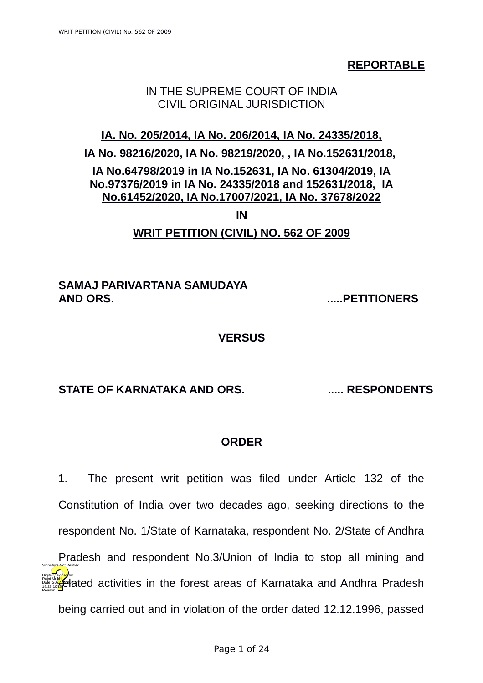**REPORTABLE**

# IN THE SUPREME COURT OF INDIA CIVIL ORIGINAL JURISDICTION

# **IA. No. 205/2014, IA No. 206/2014, IA No. 24335/2018, IA No. 98216/2020, IA No. 98219/2020, , IA No.152631/2018, IA No.64798/2019 in IA No.152631, IA No. 61304/2019, IA No.97376/2019 in IA No. 24335/2018 and 152631/2018, IA No.61452/2020, IA No.17007/2021, IA No. 37678/2022**

**IN**

### **WRIT PETITION (CIVIL) NO. 562 OF 2009**

## **SAMAJ PARIVARTANA SAMUDAYA AND ORS. .....PETITIONERS**

#### **VERSUS**

# **STATE OF KARNATAKA AND ORS. ..... RESPONDENTS**

# **ORDER**

1. The present writ petition was filed under Article 132 of the Constitution of India over two decades ago, seeking directions to the respondent No. 1/State of Karnataka, respondent No. 2/State of Andhra Pradesh and respondent No.3/Union of India to stop all mining and **relative de** activities in the forest areas of Karnataka and Andhra Pradesh being carried out and in violation of the order dated 12.12.1996, passed Rajni Mukhi Date: 2022.020 Reason: Signature Not Verified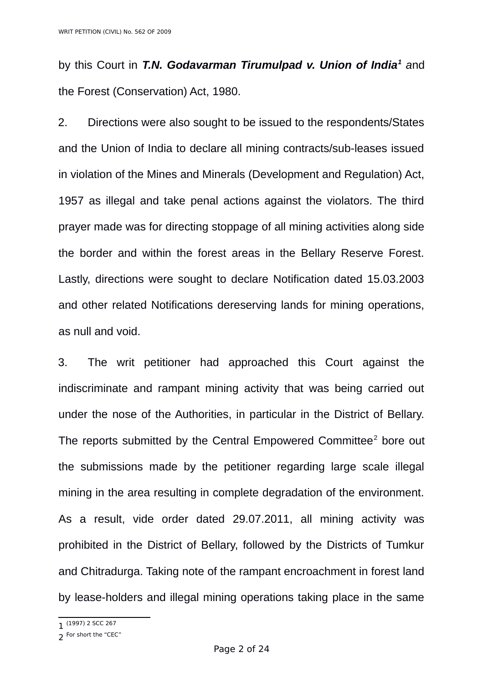by this Court in *T.N. Godavarman Tirumulpad v. Union of India[1](#page-1-0) a*nd the Forest (Conservation) Act, 1980.

2. Directions were also sought to be issued to the respondents/States and the Union of India to declare all mining contracts/sub-leases issued in violation of the Mines and Minerals (Development and Regulation) Act, 1957 as illegal and take penal actions against the violators. The third prayer made was for directing stoppage of all mining activities along side the border and within the forest areas in the Bellary Reserve Forest. Lastly, directions were sought to declare Notification dated 15.03.2003 and other related Notifications dereserving lands for mining operations, as null and void.

3. The writ petitioner had approached this Court against the indiscriminate and rampant mining activity that was being carried out under the nose of the Authorities, in particular in the District of Bellary. The reports submitted by the Central Empowered Committee<sup>[2](#page-1-1)</sup> bore out the submissions made by the petitioner regarding large scale illegal mining in the area resulting in complete degradation of the environment. As a result, vide order dated 29.07.2011, all mining activity was prohibited in the District of Bellary, followed by the Districts of Tumkur and Chitradurga. Taking note of the rampant encroachment in forest land by lease-holders and illegal mining operations taking place in the same

<span id="page-1-0"></span><sup>1</sup> (1997) 2 SCC 267

<span id="page-1-1"></span><sup>2</sup> For short the "CEC"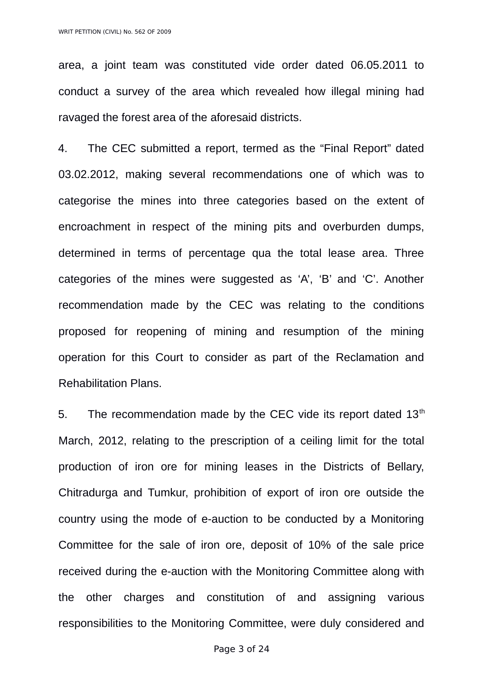area, a joint team was constituted vide order dated 06.05.2011 to conduct a survey of the area which revealed how illegal mining had ravaged the forest area of the aforesaid districts.

4. The CEC submitted a report, termed as the "Final Report" dated 03.02.2012, making several recommendations one of which was to categorise the mines into three categories based on the extent of encroachment in respect of the mining pits and overburden dumps, determined in terms of percentage qua the total lease area. Three categories of the mines were suggested as 'A', 'B' and 'C'. Another recommendation made by the CEC was relating to the conditions proposed for reopening of mining and resumption of the mining operation for this Court to consider as part of the Reclamation and Rehabilitation Plans.

5. The recommendation made by the CEC vide its report dated  $13<sup>th</sup>$ March, 2012, relating to the prescription of a ceiling limit for the total production of iron ore for mining leases in the Districts of Bellary, Chitradurga and Tumkur, prohibition of export of iron ore outside the country using the mode of e-auction to be conducted by a Monitoring Committee for the sale of iron ore, deposit of 10% of the sale price received during the e-auction with the Monitoring Committee along with the other charges and constitution of and assigning various responsibilities to the Monitoring Committee, were duly considered and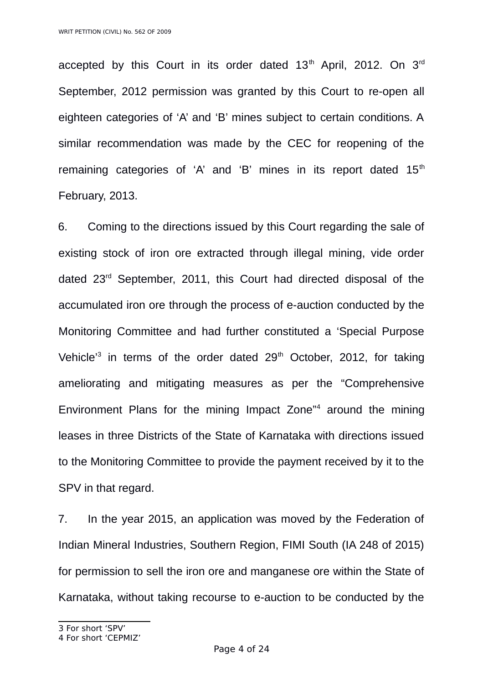accepted by this Court in its order dated  $13<sup>th</sup>$  April, 2012. On  $3<sup>rd</sup>$ September, 2012 permission was granted by this Court to re-open all eighteen categories of 'A' and 'B' mines subject to certain conditions. A similar recommendation was made by the CEC for reopening of the remaining categories of 'A' and 'B' mines in its report dated  $15<sup>th</sup>$ February, 2013.

6. Coming to the directions issued by this Court regarding the sale of existing stock of iron ore extracted through illegal mining, vide order dated 23rd September, 2011, this Court had directed disposal of the accumulated iron ore through the process of e-auction conducted by the Monitoring Committee and had further constituted a 'Special Purpose Vehicle<sup>[3](#page-3-0)</sup> in terms of the order dated 29<sup>th</sup> October, 2012, for taking ameliorating and mitigating measures as per the "Comprehensive Environment Plans for the mining Impact Zone"[4](#page-3-1) around the mining leases in three Districts of the State of Karnataka with directions issued to the Monitoring Committee to provide the payment received by it to the SPV in that regard.

7. In the year 2015, an application was moved by the Federation of Indian Mineral Industries, Southern Region, FIMI South (IA 248 of 2015) for permission to sell the iron ore and manganese ore within the State of Karnataka, without taking recourse to e-auction to be conducted by the

<span id="page-3-0"></span><sup>3</sup> For short 'SPV'

<span id="page-3-1"></span><sup>4</sup> For short 'CEPMIZ'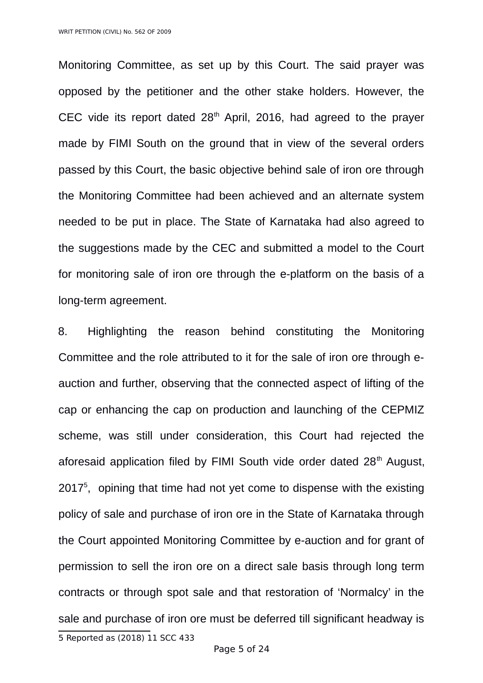Monitoring Committee, as set up by this Court. The said prayer was opposed by the petitioner and the other stake holders. However, the CEC vide its report dated  $28<sup>th</sup>$  April, 2016, had agreed to the prayer made by FIMI South on the ground that in view of the several orders passed by this Court, the basic objective behind sale of iron ore through the Monitoring Committee had been achieved and an alternate system needed to be put in place. The State of Karnataka had also agreed to the suggestions made by the CEC and submitted a model to the Court for monitoring sale of iron ore through the e-platform on the basis of a long-term agreement.

<span id="page-4-0"></span>8. Highlighting the reason behind constituting the Monitoring Committee and the role attributed to it for the sale of iron ore through eauction and further, observing that the connected aspect of lifting of the cap or enhancing the cap on production and launching of the CEPMIZ scheme, was still under consideration, this Court had rejected the aforesaid application filed by FIMI South vide order dated 28<sup>th</sup> August, 2017<sup>[5](#page-4-0)</sup>, opining that time had not yet come to dispense with the existing policy of sale and purchase of iron ore in the State of Karnataka through the Court appointed Monitoring Committee by e-auction and for grant of permission to sell the iron ore on a direct sale basis through long term contracts or through spot sale and that restoration of 'Normalcy' in the sale and purchase of iron ore must be deferred till significant headway is 5 Reported as (2018) 11 SCC 433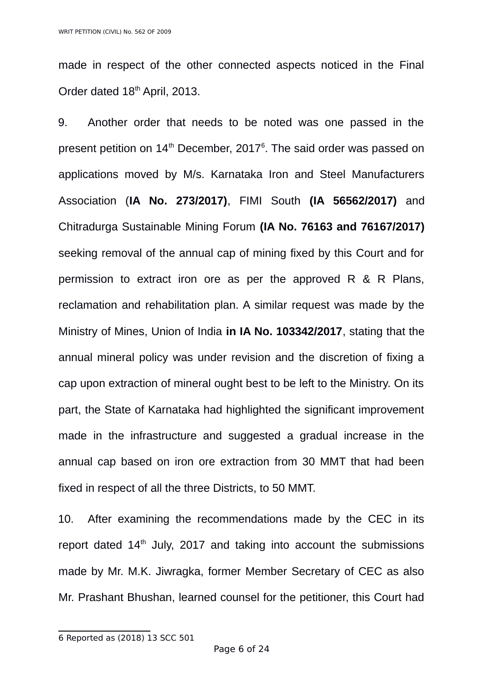made in respect of the other connected aspects noticed in the Final Order dated 18<sup>th</sup> April, 2013.

9. Another order that needs to be noted was one passed in the present petition on  $14<sup>th</sup>$  December, 2017 $<sup>6</sup>$  $<sup>6</sup>$  $<sup>6</sup>$ . The said order was passed on</sup> applications moved by M/s. Karnataka Iron and Steel Manufacturers Association (**IA No. 273/2017)**, FIMI South **(IA 56562/2017)** and Chitradurga Sustainable Mining Forum **(IA No. 76163 and 76167/2017)** seeking removal of the annual cap of mining fixed by this Court and for permission to extract iron ore as per the approved R & R Plans, reclamation and rehabilitation plan. A similar request was made by the Ministry of Mines, Union of India **in IA No. 103342/2017**, stating that the annual mineral policy was under revision and the discretion of fixing a cap upon extraction of mineral ought best to be left to the Ministry. On its part, the State of Karnataka had highlighted the significant improvement made in the infrastructure and suggested a gradual increase in the annual cap based on iron ore extraction from 30 MMT that had been fixed in respect of all the three Districts, to 50 MMT.

10. After examining the recommendations made by the CEC in its report dated 14<sup>th</sup> July, 2017 and taking into account the submissions made by Mr. M.K. Jiwragka, former Member Secretary of CEC as also Mr. Prashant Bhushan, learned counsel for the petitioner, this Court had

<span id="page-5-0"></span><sup>6</sup> Reported as (2018) 13 SCC 501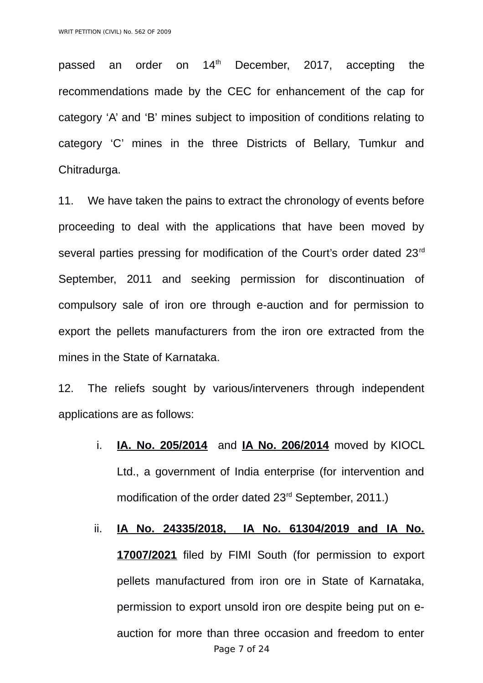passed an order on  $14<sup>th</sup>$  December, 2017, accepting the recommendations made by the CEC for enhancement of the cap for category 'A' and 'B' mines subject to imposition of conditions relating to category 'C' mines in the three Districts of Bellary, Tumkur and Chitradurga.

11. We have taken the pains to extract the chronology of events before proceeding to deal with the applications that have been moved by several parties pressing for modification of the Court's order dated 23<sup>rd</sup> September, 2011 and seeking permission for discontinuation of compulsory sale of iron ore through e-auction and for permission to export the pellets manufacturers from the iron ore extracted from the mines in the State of Karnataka.

12. The reliefs sought by various/interveners through independent applications are as follows:

- i. **IA. No. 205/2014** and **IA No. 206/2014** moved by KIOCL Ltd., a government of India enterprise (for intervention and modification of the order dated 23<sup>rd</sup> September, 2011.)
- ii. **IA No. 24335/2018, IA No. 61304/2019 and IA No. 17007/2021** filed by FIMI South (for permission to export pellets manufactured from iron ore in State of Karnataka, permission to export unsold iron ore despite being put on eauction for more than three occasion and freedom to enter Page 7 of 24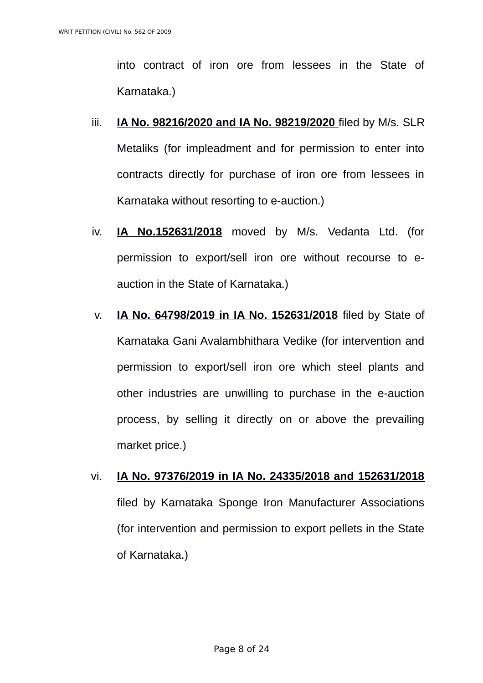into contract of iron ore from lessees in the State of Karnataka.)

- iii. **IA No. 98216/2020 and IA No. 98219/2020** filed by M/s. SLR Metaliks (for impleadment and for permission to enter into contracts directly for purchase of iron ore from lessees in Karnataka without resorting to e-auction.)
- iv. **IA No.152631/2018** moved by M/s. Vedanta Ltd. (for permission to export/sell iron ore without recourse to eauction in the State of Karnataka.)
- v. **IA No. 64798/2019 in IA No. 152631/2018** filed by State of Karnataka Gani Avalambhithara Vedike (for intervention and permission to export/sell iron ore which steel plants and other industries are unwilling to purchase in the e-auction process, by selling it directly on or above the prevailing market price.)
- vi. **IA No. 97376/2019 in IA No. 24335/2018 and 152631/2018** filed by Karnataka Sponge Iron Manufacturer Associations (for intervention and permission to export pellets in the State of Karnataka.)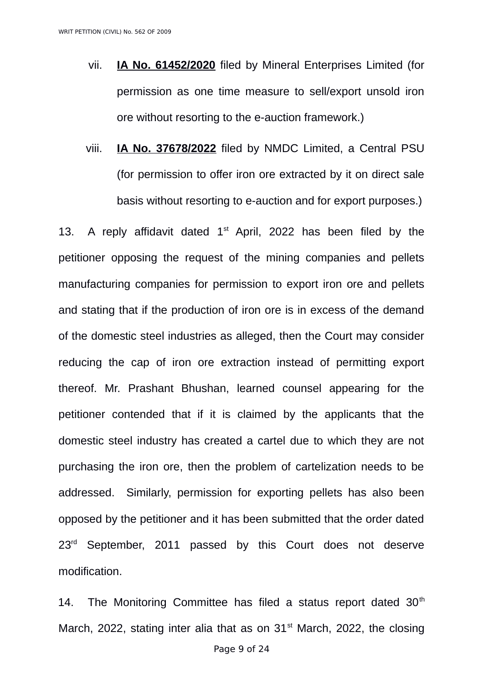- vii. **IA No. 61452/2020** filed by Mineral Enterprises Limited (for permission as one time measure to sell/export unsold iron ore without resorting to the e-auction framework.)
- viii. **IA No. 37678/2022** filed by NMDC Limited, a Central PSU (for permission to offer iron ore extracted by it on direct sale basis without resorting to e-auction and for export purposes.)

13. A reply affidavit dated  $1<sup>st</sup>$  April, 2022 has been filed by the petitioner opposing the request of the mining companies and pellets manufacturing companies for permission to export iron ore and pellets and stating that if the production of iron ore is in excess of the demand of the domestic steel industries as alleged, then the Court may consider reducing the cap of iron ore extraction instead of permitting export thereof. Mr. Prashant Bhushan, learned counsel appearing for the petitioner contended that if it is claimed by the applicants that the domestic steel industry has created a cartel due to which they are not purchasing the iron ore, then the problem of cartelization needs to be addressed. Similarly, permission for exporting pellets has also been opposed by the petitioner and it has been submitted that the order dated 23<sup>rd</sup> September, 2011 passed by this Court does not deserve modification.

14. The Monitoring Committee has filed a status report dated  $30<sup>th</sup>$ March, 2022, stating inter alia that as on  $31<sup>st</sup>$  March, 2022, the closing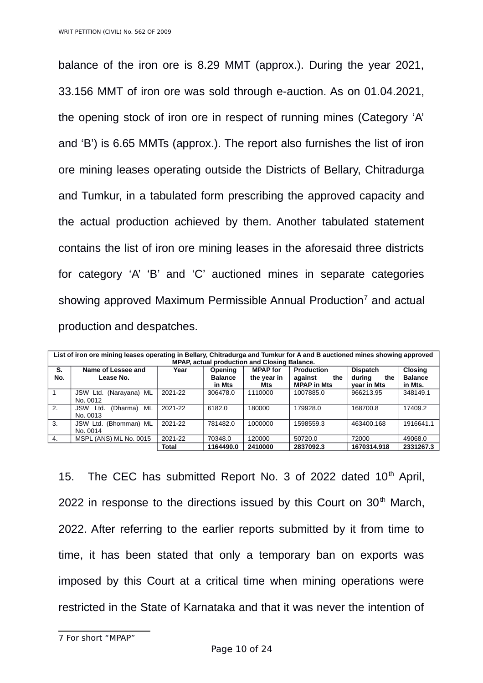balance of the iron ore is 8.29 MMT (approx.). During the year 2021, 33.156 MMT of iron ore was sold through e-auction. As on 01.04.2021, the opening stock of iron ore in respect of running mines (Category 'A' and 'B') is 6.65 MMTs (approx.). The report also furnishes the list of iron ore mining leases operating outside the Districts of Bellary, Chitradurga and Tumkur, in a tabulated form prescribing the approved capacity and the actual production achieved by them. Another tabulated statement contains the list of iron ore mining leases in the aforesaid three districts for category 'A' 'B' and 'C' auctioned mines in separate categories showing approved Maximum Permissible Annual Production<sup>[7](#page-9-0)</sup> and actual production and despatches.

| List of iron ore mining leases operating in Bellary, Chitradurga and Tumkur for A and B auctioned mines showing approved<br>MPAP, actual production and Closing Balance. |                                        |              |                                     |                                       |                                                           |                                                 |                                             |
|--------------------------------------------------------------------------------------------------------------------------------------------------------------------------|----------------------------------------|--------------|-------------------------------------|---------------------------------------|-----------------------------------------------------------|-------------------------------------------------|---------------------------------------------|
| S.<br>No.                                                                                                                                                                | Name of Lessee and<br>Lease No.        | Year         | Opening<br><b>Balance</b><br>in Mts | <b>MPAP</b> for<br>the year in<br>Mts | <b>Production</b><br>the<br>against<br><b>MPAP in Mts</b> | <b>Dispatch</b><br>during<br>the<br>year in Mts | <b>Closing</b><br><b>Balance</b><br>in Mts. |
| $\overline{1}$                                                                                                                                                           | JSW Ltd.<br>(Narayana) ML<br>No. 0012  | 2021-22      | 306478.0                            | 1110000                               | 1007885.0                                                 | 966213.95                                       | 348149.1                                    |
| 2.                                                                                                                                                                       | ML<br>JSW Ltd.<br>(Dharma)<br>No. 0013 | 2021-22      | 6182.0                              | 180000                                | 179928.0                                                  | 168700.8                                        | 17409.2                                     |
| 3.                                                                                                                                                                       | (Bhomman) ML<br>JSW Ltd.<br>No. 0014   | 2021-22      | 781482.0                            | 1000000                               | 1598559.3                                                 | 463400.168                                      | 1916641.1                                   |
| 4.                                                                                                                                                                       | MSPL (ANS) ML No. 0015                 | 2021-22      | 70348.0                             | 120000                                | 50720.0                                                   | 72000                                           | 49068.0                                     |
|                                                                                                                                                                          |                                        | <b>Total</b> | 1164490.0                           | 2410000                               | 2837092.3                                                 | 1670314.918                                     | 2331267.3                                   |

15. The CEC has submitted Report No. 3 of 2022 dated  $10<sup>th</sup>$  April, 2022 in response to the directions issued by this Court on  $30<sup>th</sup>$  March, 2022. After referring to the earlier reports submitted by it from time to time, it has been stated that only a temporary ban on exports was imposed by this Court at a critical time when mining operations were restricted in the State of Karnataka and that it was never the intention of

<span id="page-9-0"></span><sup>7</sup> For short "MPAP"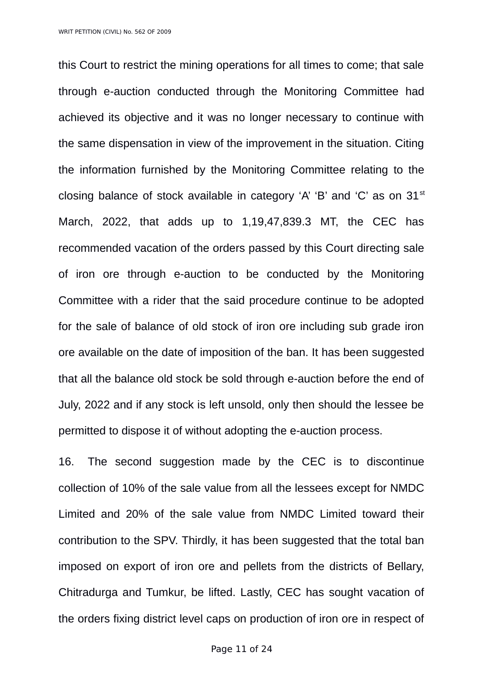this Court to restrict the mining operations for all times to come; that sale through e-auction conducted through the Monitoring Committee had achieved its objective and it was no longer necessary to continue with the same dispensation in view of the improvement in the situation. Citing the information furnished by the Monitoring Committee relating to the closing balance of stock available in category  $A'$   $B'$  and  $C'$  as on  $31<sup>st</sup>$ March, 2022, that adds up to 1,19,47,839.3 MT, the CEC has recommended vacation of the orders passed by this Court directing sale of iron ore through e-auction to be conducted by the Monitoring Committee with a rider that the said procedure continue to be adopted for the sale of balance of old stock of iron ore including sub grade iron ore available on the date of imposition of the ban. It has been suggested that all the balance old stock be sold through e-auction before the end of July, 2022 and if any stock is left unsold, only then should the lessee be permitted to dispose it of without adopting the e-auction process.

16. The second suggestion made by the CEC is to discontinue collection of 10% of the sale value from all the lessees except for NMDC Limited and 20% of the sale value from NMDC Limited toward their contribution to the SPV. Thirdly, it has been suggested that the total ban imposed on export of iron ore and pellets from the districts of Bellary, Chitradurga and Tumkur, be lifted. Lastly, CEC has sought vacation of the orders fixing district level caps on production of iron ore in respect of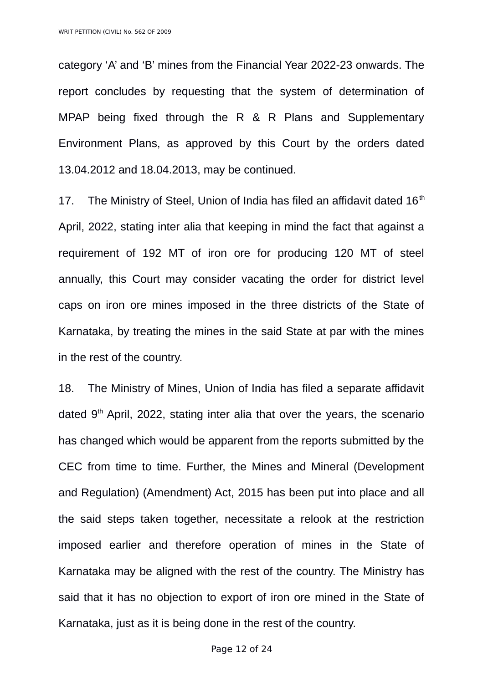category 'A' and 'B' mines from the Financial Year 2022-23 onwards. The report concludes by requesting that the system of determination of MPAP being fixed through the R & R Plans and Supplementary Environment Plans, as approved by this Court by the orders dated 13.04.2012 and 18.04.2013, may be continued.

17. The Ministry of Steel, Union of India has filed an affidavit dated  $16<sup>th</sup>$ April, 2022, stating inter alia that keeping in mind the fact that against a requirement of 192 MT of iron ore for producing 120 MT of steel annually, this Court may consider vacating the order for district level caps on iron ore mines imposed in the three districts of the State of Karnataka, by treating the mines in the said State at par with the mines in the rest of the country.

18. The Ministry of Mines, Union of India has filed a separate affidavit dated  $9<sup>th</sup>$  April, 2022, stating inter alia that over the years, the scenario has changed which would be apparent from the reports submitted by the CEC from time to time. Further, the Mines and Mineral (Development and Regulation) (Amendment) Act, 2015 has been put into place and all the said steps taken together, necessitate a relook at the restriction imposed earlier and therefore operation of mines in the State of Karnataka may be aligned with the rest of the country. The Ministry has said that it has no objection to export of iron ore mined in the State of Karnataka, just as it is being done in the rest of the country.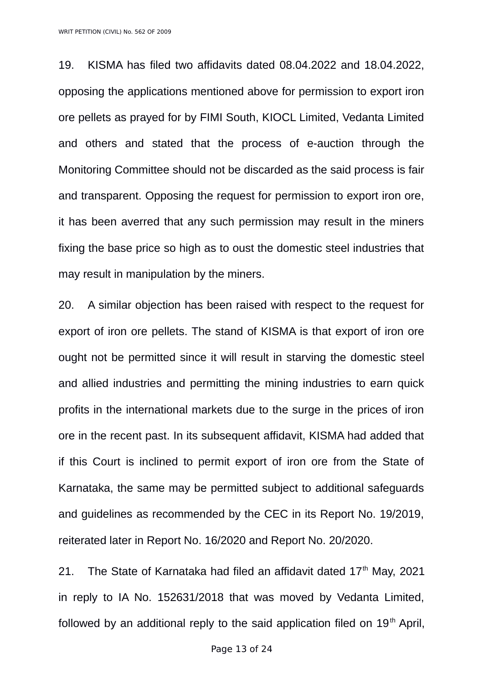WRIT PETITION (CIVIL) No. 562 OF 2009

19. KISMA has filed two affidavits dated 08.04.2022 and 18.04.2022, opposing the applications mentioned above for permission to export iron ore pellets as prayed for by FIMI South, KIOCL Limited, Vedanta Limited and others and stated that the process of e-auction through the Monitoring Committee should not be discarded as the said process is fair and transparent. Opposing the request for permission to export iron ore, it has been averred that any such permission may result in the miners fixing the base price so high as to oust the domestic steel industries that may result in manipulation by the miners.

20. A similar objection has been raised with respect to the request for export of iron ore pellets. The stand of KISMA is that export of iron ore ought not be permitted since it will result in starving the domestic steel and allied industries and permitting the mining industries to earn quick profits in the international markets due to the surge in the prices of iron ore in the recent past. In its subsequent affidavit, KISMA had added that if this Court is inclined to permit export of iron ore from the State of Karnataka, the same may be permitted subject to additional safeguards and guidelines as recommended by the CEC in its Report No. 19/2019, reiterated later in Report No. 16/2020 and Report No. 20/2020.

21. The State of Karnataka had filed an affidavit dated  $17<sup>th</sup>$  May, 2021 in reply to IA No. 152631/2018 that was moved by Vedanta Limited, followed by an additional reply to the said application filed on  $19<sup>th</sup>$  April,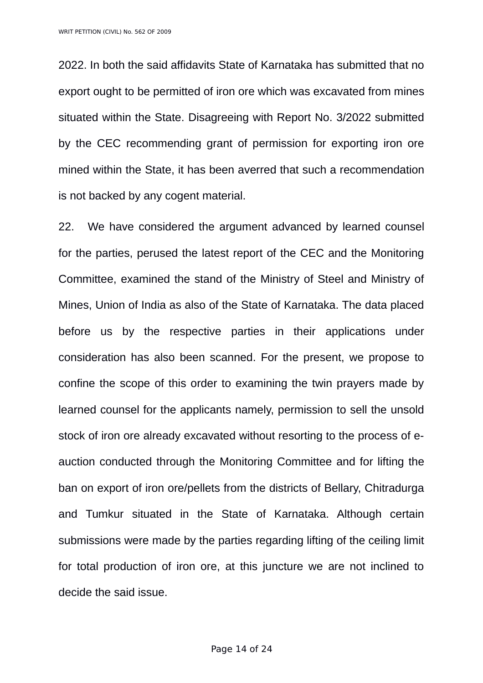2022. In both the said affidavits State of Karnataka has submitted that no export ought to be permitted of iron ore which was excavated from mines situated within the State. Disagreeing with Report No. 3/2022 submitted by the CEC recommending grant of permission for exporting iron ore mined within the State, it has been averred that such a recommendation is not backed by any cogent material.

22. We have considered the argument advanced by learned counsel for the parties, perused the latest report of the CEC and the Monitoring Committee, examined the stand of the Ministry of Steel and Ministry of Mines, Union of India as also of the State of Karnataka. The data placed before us by the respective parties in their applications under consideration has also been scanned. For the present, we propose to confine the scope of this order to examining the twin prayers made by learned counsel for the applicants namely, permission to sell the unsold stock of iron ore already excavated without resorting to the process of eauction conducted through the Monitoring Committee and for lifting the ban on export of iron ore/pellets from the districts of Bellary, Chitradurga and Tumkur situated in the State of Karnataka. Although certain submissions were made by the parties regarding lifting of the ceiling limit for total production of iron ore, at this juncture we are not inclined to decide the said issue.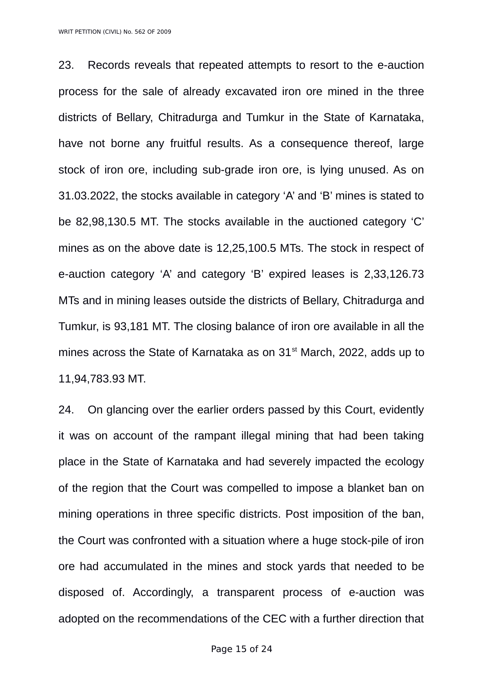WRIT PETITION (CIVIL) No. 562 OF 2009

23. Records reveals that repeated attempts to resort to the e-auction process for the sale of already excavated iron ore mined in the three districts of Bellary, Chitradurga and Tumkur in the State of Karnataka, have not borne any fruitful results. As a consequence thereof, large stock of iron ore, including sub-grade iron ore, is lying unused. As on 31.03.2022, the stocks available in category 'A' and 'B' mines is stated to be 82,98,130.5 MT. The stocks available in the auctioned category 'C' mines as on the above date is 12,25,100.5 MTs. The stock in respect of e-auction category 'A' and category 'B' expired leases is 2,33,126.73 MTs and in mining leases outside the districts of Bellary, Chitradurga and Tumkur, is 93,181 MT. The closing balance of iron ore available in all the mines across the State of Karnataka as on  $31<sup>st</sup>$  March, 2022, adds up to 11,94,783.93 MT.

24. On glancing over the earlier orders passed by this Court, evidently it was on account of the rampant illegal mining that had been taking place in the State of Karnataka and had severely impacted the ecology of the region that the Court was compelled to impose a blanket ban on mining operations in three specific districts. Post imposition of the ban, the Court was confronted with a situation where a huge stock-pile of iron ore had accumulated in the mines and stock yards that needed to be disposed of. Accordingly, a transparent process of e-auction was adopted on the recommendations of the CEC with a further direction that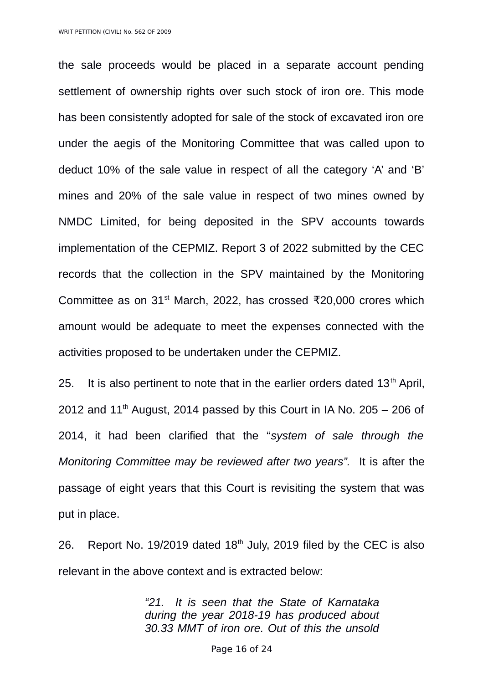the sale proceeds would be placed in a separate account pending settlement of ownership rights over such stock of iron ore. This mode has been consistently adopted for sale of the stock of excavated iron ore under the aegis of the Monitoring Committee that was called upon to deduct 10% of the sale value in respect of all the category 'A' and 'B' mines and 20% of the sale value in respect of two mines owned by NMDC Limited, for being deposited in the SPV accounts towards implementation of the CEPMIZ. Report 3 of 2022 submitted by the CEC records that the collection in the SPV maintained by the Monitoring Committee as on 31<sup>st</sup> March, 2022, has crossed ₹20,000 crores which amount would be adequate to meet the expenses connected with the activities proposed to be undertaken under the CEPMIZ.

25. It is also pertinent to note that in the earlier orders dated  $13<sup>th</sup>$  April, 2012 and  $11<sup>th</sup>$  August, 2014 passed by this Court in IA No. 205 – 206 of 2014, it had been clarified that the "*system of sale through the Monitoring Committee may be reviewed after two years".* It is after the passage of eight years that this Court is revisiting the system that was put in place.

26. Report No. 19/2019 dated  $18<sup>th</sup>$  July, 2019 filed by the CEC is also relevant in the above context and is extracted below:

> *"21. It is seen that the State of Karnataka during the year 2018-19 has produced about 30.33 MMT of iron ore. Out of this the unsold*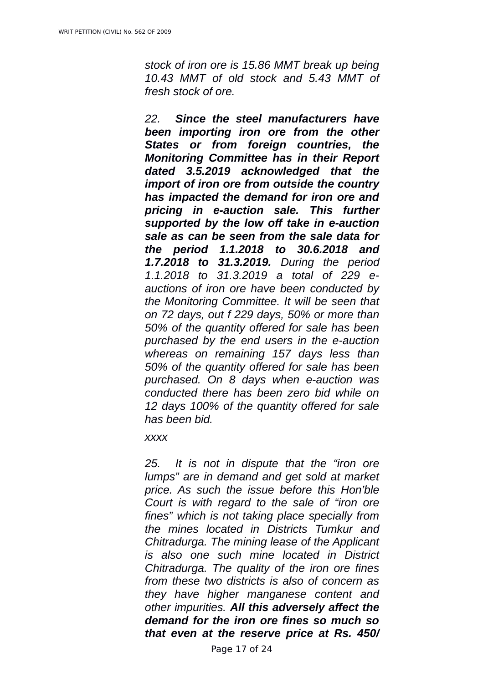*stock of iron ore is 15.86 MMT break up being 10.43 MMT of old stock and 5.43 MMT of fresh stock of ore.* 

*22. Since the steel manufacturers have been importing iron ore from the other States or from foreign countries, the Monitoring Committee has in their Report dated 3.5.2019 acknowledged that the import of iron ore from outside the country has impacted the demand for iron ore and pricing in e-auction sale. This further supported by the low off take in e-auction sale as can be seen from the sale data for the period 1.1.2018 to 30.6.2018 and 1.7.2018 to 31.3.2019. During the period 1.1.2018 to 31.3.2019 a total of 229 eauctions of iron ore have been conducted by the Monitoring Committee. It will be seen that on 72 days, out f 229 days, 50% or more than 50% of the quantity offered for sale has been purchased by the end users in the e-auction whereas on remaining 157 days less than 50% of the quantity offered for sale has been purchased. On 8 days when e-auction was conducted there has been zero bid while on 12 days 100% of the quantity offered for sale has been bid.* 

*xxxx*

*25. It is not in dispute that the "iron ore lumps" are in demand and get sold at market price. As such the issue before this Hon'ble Court is with regard to the sale of "iron ore fines" which is not taking place specially from the mines located in Districts Tumkur and Chitradurga. The mining lease of the Applicant is also one such mine located in District Chitradurga. The quality of the iron ore fines from these two districts is also of concern as they have higher manganese content and other impurities. All this adversely affect the demand for the iron ore fines so much so that even at the reserve price at Rs. 450/*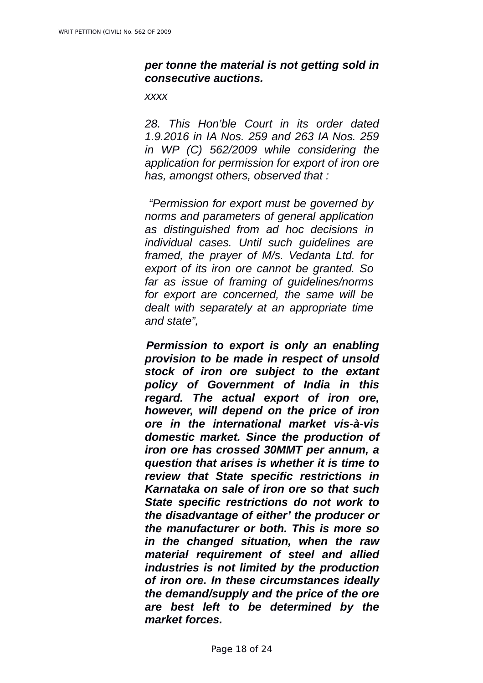# *per tonne the material is not getting sold in consecutive auctions.*

#### *xxxx*

*28. This Hon'ble Court in its order dated 1.9.2016 in IA Nos. 259 and 263 IA Nos. 259 in WP (C) 562/2009 while considering the application for permission for export of iron ore has, amongst others, observed that :*

 *"Permission for export must be governed by norms and parameters of general application as distinguished from ad hoc decisions in individual cases. Until such guidelines are framed, the prayer of M/s. Vedanta Ltd. for export of its iron ore cannot be granted. So far as issue of framing of guidelines/norms for export are concerned, the same will be dealt with separately at an appropriate time and state",*

*Permission to export is only an enabling provision to be made in respect of unsold stock of iron ore subject to the extant policy of Government of India in this regard. The actual export of iron ore, however, will depend on the price of iron ore in the international market vis-à-vis domestic market. Since the production of iron ore has crossed 30MMT per annum, a question that arises is whether it is time to review that State specific restrictions in Karnataka on sale of iron ore so that such State specific restrictions do not work to the disadvantage of either' the producer or the manufacturer or both. This is more so in the changed situation, when the raw material requirement of steel and allied industries is not limited by the production of iron ore. In these circumstances ideally the demand/supply and the price of the ore are best left to be determined by the market forces.*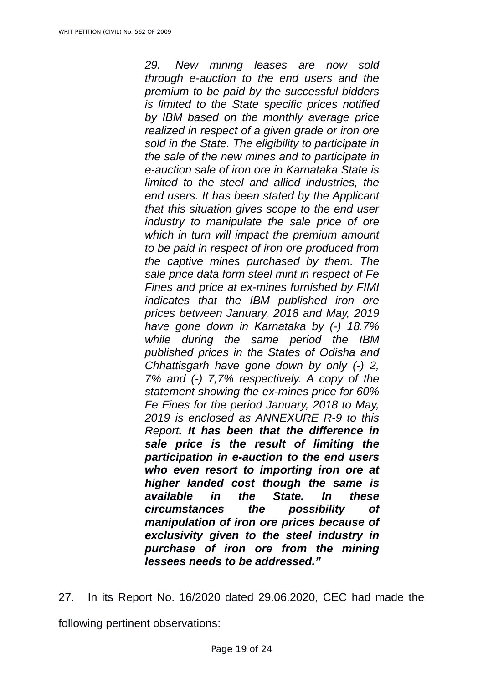*29. New mining leases are now sold through e-auction to the end users and the premium to be paid by the successful bidders is limited to the State specific prices notified by IBM based on the monthly average price realized in respect of a given grade or iron ore sold in the State. The eligibility to participate in the sale of the new mines and to participate in e-auction sale of iron ore in Karnataka State is limited to the steel and allied industries, the end users. It has been stated by the Applicant that this situation gives scope to the end user industry to manipulate the sale price of ore which in turn will impact the premium amount to be paid in respect of iron ore produced from the captive mines purchased by them. The sale price data form steel mint in respect of Fe Fines and price at ex-mines furnished by FIMI indicates that the IBM published iron ore prices between January, 2018 and May, 2019 have gone down in Karnataka by (-) 18.7% while during the same period the IBM published prices in the States of Odisha and Chhattisgarh have gone down by only (-) 2, 7% and (-) 7,7% respectively. A copy of the statement showing the ex-mines price for 60% Fe Fines for the period January, 2018 to May, 2019 is enclosed as ANNEXURE R-9 to this Report. It has been that the difference in sale price is the result of limiting the participation in e-auction to the end users who even resort to importing iron ore at higher landed cost though the same is available in the State. In these circumstances the possibility of manipulation of iron ore prices because of exclusivity given to the steel industry in purchase of iron ore from the mining lessees needs to be addressed."*

27. In its Report No. 16/2020 dated 29.06.2020, CEC had made the following pertinent observations: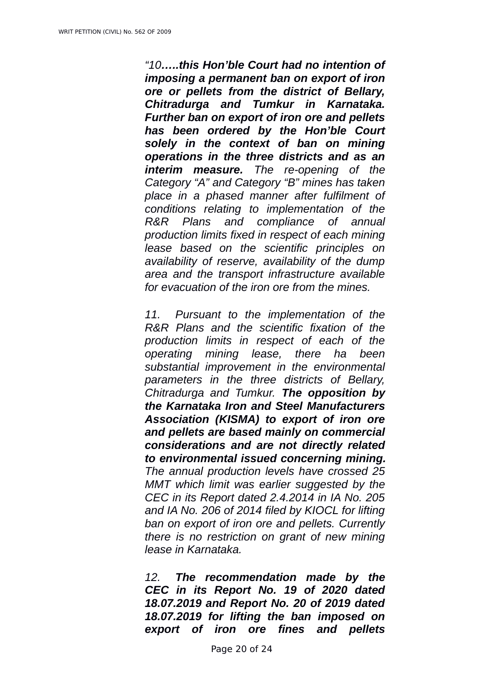*"10…..this Hon'ble Court had no intention of imposing a permanent ban on export of iron ore or pellets from the district of Bellary, Chitradurga and Tumkur in Karnataka. Further ban on export of iron ore and pellets has been ordered by the Hon'ble Court solely in the context of ban on mining operations in the three districts and as an interim measure. The re-opening of the Category "A" and Category "B" mines has taken place in a phased manner after fulfilment of conditions relating to implementation of the R&R Plans and compliance of annual production limits fixed in respect of each mining lease based on the scientific principles on availability of reserve, availability of the dump area and the transport infrastructure available for evacuation of the iron ore from the mines.* 

*11. Pursuant to the implementation of the R&R Plans and the scientific fixation of the production limits in respect of each of the operating mining lease, there ha been substantial improvement in the environmental parameters in the three districts of Bellary, Chitradurga and Tumkur. The opposition by the Karnataka Iron and Steel Manufacturers Association (KISMA) to export of iron ore and pellets are based mainly on commercial considerations and are not directly related to environmental issued concerning mining. The annual production levels have crossed 25 MMT which limit was earlier suggested by the CEC in its Report dated 2.4.2014 in IA No. 205 and IA No. 206 of 2014 filed by KIOCL for lifting ban on export of iron ore and pellets. Currently there is no restriction on grant of new mining lease in Karnataka.* 

*12. The recommendation made by the CEC in its Report No. 19 of 2020 dated 18.07.2019 and Report No. 20 of 2019 dated 18.07.2019 for lifting the ban imposed on export of iron ore fines and pellets*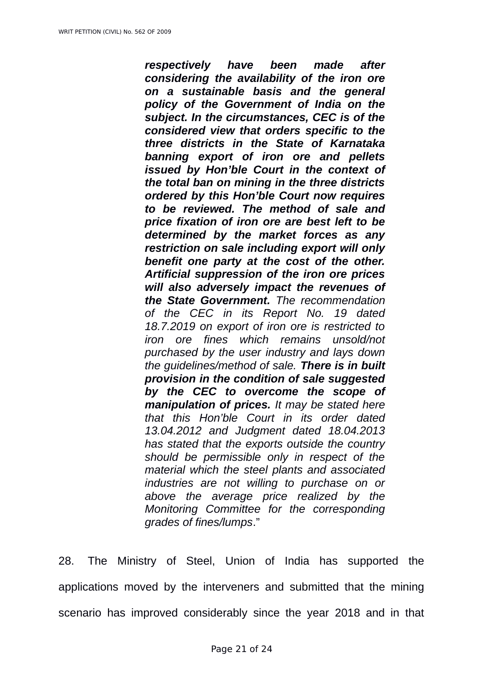*respectively have been made after considering the availability of the iron ore on a sustainable basis and the general policy of the Government of India on the subject. In the circumstances, CEC is of the considered view that orders specific to the three districts in the State of Karnataka banning export of iron ore and pellets issued by Hon'ble Court in the context of the total ban on mining in the three districts ordered by this Hon'ble Court now requires to be reviewed. The method of sale and price fixation of iron ore are best left to be determined by the market forces as any restriction on sale including export will only benefit one party at the cost of the other. Artificial suppression of the iron ore prices will also adversely impact the revenues of the State Government. The recommendation of the CEC in its Report No. 19 dated 18.7.2019 on export of iron ore is restricted to iron ore fines which remains unsold/not purchased by the user industry and lays down the guidelines/method of sale. There is in built provision in the condition of sale suggested by the CEC to overcome the scope of manipulation of prices. It may be stated here that this Hon'ble Court in its order dated 13.04.2012 and Judgment dated 18.04.2013 has stated that the exports outside the country should be permissible only in respect of the material which the steel plants and associated industries are not willing to purchase on or above the average price realized by the Monitoring Committee for the corresponding grades of fines/lumps*."

28. The Ministry of Steel, Union of India has supported the applications moved by the interveners and submitted that the mining scenario has improved considerably since the year 2018 and in that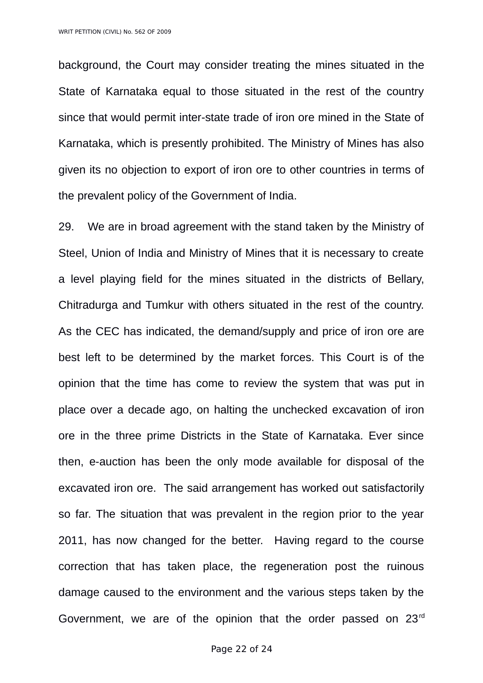background, the Court may consider treating the mines situated in the State of Karnataka equal to those situated in the rest of the country since that would permit inter-state trade of iron ore mined in the State of Karnataka, which is presently prohibited. The Ministry of Mines has also given its no objection to export of iron ore to other countries in terms of the prevalent policy of the Government of India.

29. We are in broad agreement with the stand taken by the Ministry of Steel, Union of India and Ministry of Mines that it is necessary to create a level playing field for the mines situated in the districts of Bellary, Chitradurga and Tumkur with others situated in the rest of the country. As the CEC has indicated, the demand/supply and price of iron ore are best left to be determined by the market forces. This Court is of the opinion that the time has come to review the system that was put in place over a decade ago, on halting the unchecked excavation of iron ore in the three prime Districts in the State of Karnataka. Ever since then, e-auction has been the only mode available for disposal of the excavated iron ore. The said arrangement has worked out satisfactorily so far. The situation that was prevalent in the region prior to the year 2011, has now changed for the better. Having regard to the course correction that has taken place, the regeneration post the ruinous damage caused to the environment and the various steps taken by the Government, we are of the opinion that the order passed on 23rd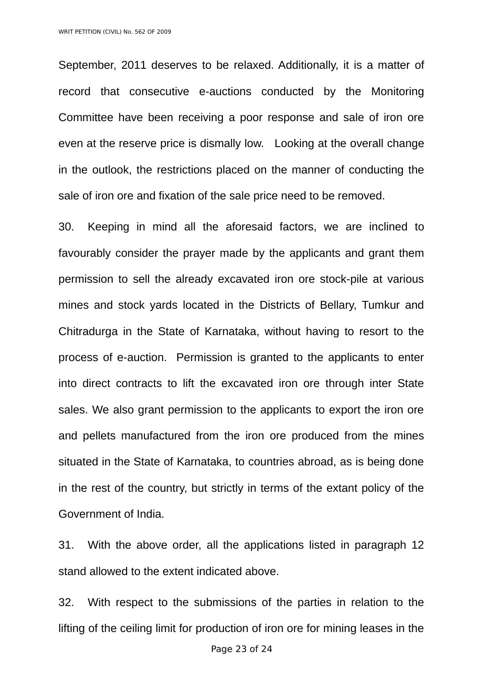September, 2011 deserves to be relaxed. Additionally, it is a matter of record that consecutive e-auctions conducted by the Monitoring Committee have been receiving a poor response and sale of iron ore even at the reserve price is dismally low. Looking at the overall change in the outlook, the restrictions placed on the manner of conducting the sale of iron ore and fixation of the sale price need to be removed.

30. Keeping in mind all the aforesaid factors, we are inclined to favourably consider the prayer made by the applicants and grant them permission to sell the already excavated iron ore stock-pile at various mines and stock yards located in the Districts of Bellary, Tumkur and Chitradurga in the State of Karnataka, without having to resort to the process of e-auction. Permission is granted to the applicants to enter into direct contracts to lift the excavated iron ore through inter State sales. We also grant permission to the applicants to export the iron ore and pellets manufactured from the iron ore produced from the mines situated in the State of Karnataka, to countries abroad, as is being done in the rest of the country, but strictly in terms of the extant policy of the Government of India.

31. With the above order, all the applications listed in paragraph 12 stand allowed to the extent indicated above.

32. With respect to the submissions of the parties in relation to the lifting of the ceiling limit for production of iron ore for mining leases in the